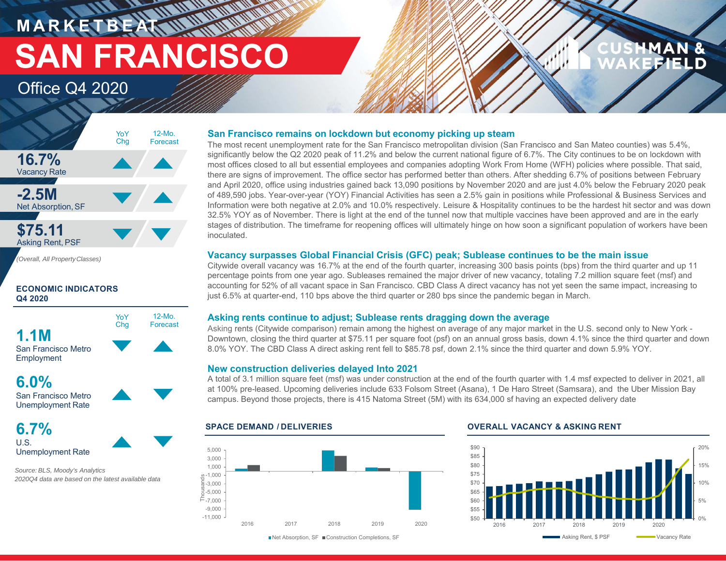**MARKETBEAT SAN FRANCISCO**

**MANAGER** 

### Office Q4 2020



*(Overall, All PropertyClasses)*

#### **ECONOMIC INDICATORS Q4 2020**



### **6.0%**

San Francisco MetroUnemployment Rate

### **6.7%**U.S.Unemployment Rate

*Source: BLS, Moody's Analytics 2020Q4 data are based on the latest available data*

#### **San Francisco remains on lockdown but economy picking up steam**

The most recent unemployment rate for the San Francisco metropolitan division (San Francisco and San Mateo counties) was 5.4%, significantly below the Q2 2020 peak of 11.2% and below the current national figure of 6.7%. The City continues to be on lockdown with most offices closed to all but essential employees and companies adopting Work From Home (WFH) policies where possible. That said, there are signs of improvement. The office sector has performed better than others. After shedding 6.7% of positions between February and April 2020, office using industries gained back 13,090 positions by November 2020 and are just 4.0% below the February 2020 peak of 489,590 jobs. Year-over-year (YOY) Financial Activities has seen a 2.5% gain in positions while Professional & Business Services and Information were both negative at 2.0% and 10.0% respectively. Leisure & Hospitality continues to be the hardest hit sector and was down 32.5% YOY as of November. There is light at the end of the tunnel now that multiple vaccines have been approved and are in the early stages of distribution. The timeframe for reopening offices will ultimately hinge on how soon a significant population of workers have been inoculated.

#### **Vacancy surpasses Global Financial Crisis (GFC) peak; Sublease continues to be the main issue**

Citywide overall vacancy was 16.7% at the end of the fourth quarter, increasing 300 basis points (bps) from the third quarter and up 11 percentage points from one year ago. Subleases remained the major driver of new vacancy, totaling 7.2 million square feet (msf) and accounting for 52% of all vacant space in San Francisco. CBD Class A direct vacancy has not yet seen the same impact, increasing to just 6.5% at quarter-end, 110 bps above the third quarter or 280 bps since the pandemic began in March.

#### **Asking rents continue to adjust; Sublease rents dragging down the average**

Asking rents (Citywide comparison) remain among the highest on average of any major market in the U.S. second only to New York - Downtown, closing the third quarter at \$75.11 per square foot (psf) on an annual gross basis, down 4.1% since the third quarter and down 8.0% YOY. The CBD Class A direct asking rent fell to \$85.78 psf, down 2.1% since the third quarter and down 5.9% YOY.

#### **New construction deliveries delayed Into 2021**

A total of 3.1 million square feet (msf) was under construction at the end of the fourth quarter with 1.4 msf expected to deliver in 2021, all at 100% pre-leased. Upcoming deliveries include 633 Folsom Street (Asana), 1 De Haro Street (Samsara), and the Uber Mission Bay campus. Beyond those projects, there is 415 Natoma Street (5M) with its 634,000 sf having an expected delivery date

#### **SPACE DEMAND / DELIVERIES OVERALL VACANCY & ASKING RENT**



■Net Absorption, SF ■ Construction Completions, SF



## MAN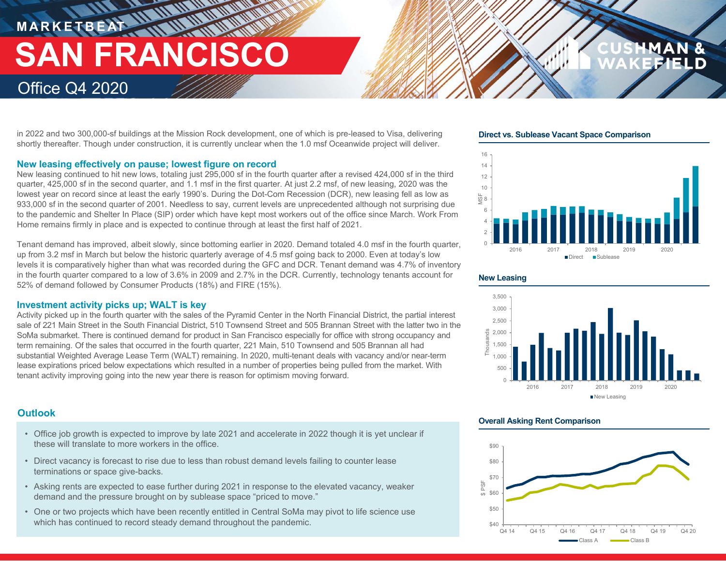# **MARKETBEAT IN IN IN IN IN IN IN SAN FRANCISCO**

### Office Q4 2020

in 2022 and two 300,000-sf buildings at the Mission Rock development, one of which is pre-leased to Visa, delivering shortly thereafter. Though under construction, it is currently unclear when the 1.0 msf Oceanwide project will deliver.

#### **New leasing effectively on pause; lowest figure on record**

New leasing continued to hit new lows, totaling just 295,000 sf in the fourth quarter after a revised 424,000 sf in the third quarter, 425,000 sf in the second quarter, and 1.1 msf in the first quarter. At just 2.2 msf, of new leasing, 2020 was the lowest year on record since at least the early 1990's. During the Dot-Com Recession (DCR), new leasing fell as low as 933,000 sf in the second quarter of 2001. Needless to say, current levels are unprecedented although not surprising due to the pandemic and Shelter In Place (SIP) order which have kept most workers out of the office since March. Work From Home remains firmly in place and is expected to continue through at least the first half of 2021.

Tenant demand has improved, albeit slowly, since bottoming earlier in 2020. Demand totaled 4.0 msf in the fourth quarter, up from 3.2 msf in March but below the historic quarterly average of 4.5 msf going back to 2000. Even at today's low levels it is comparatively higher than what was recorded during the GFC and DCR. Tenant demand was 4.7% of inventory in the fourth quarter compared to a low of 3.6% in 2009 and 2.7% in the DCR. Currently, technology tenants account for 52% of demand followed by Consumer Products (18%) and FIRE (15%).

#### **Investment activity picks up; WALT is key**

Activity picked up in the fourth quarter with the sales of the Pyramid Center in the North Financial District, the partial interest sale of 221 Main Street in the South Financial District, 510 Townsend Street and 505 Brannan Street with the latter two in the SoMa submarket. There is continued demand for product in San Francisco especially for office with strong occupancy and term remaining. Of the sales that occurred in the fourth quarter, 221 Main, 510 Townsend and 505 Brannan all had substantial Weighted Average Lease Term (WALT) remaining. In 2020, multi-tenant deals with vacancy and/or near-term lease expirations priced below expectations which resulted in a number of properties being pulled from the market. With tenant activity improving going into the new year there is reason for optimism moving forward.

### **Outlook**

- Office job growth is expected to improve by late 2021 and accelerate in 2022 though it is yet unclear if these will translate to more workers in the office.
- Direct vacancy is forecast to rise due to less than robust demand levels failing to counter lease terminations or space give-backs.
- Asking rents are expected to ease further during 2021 in response to the elevated vacancy, weaker demand and the pressure brought on by sublease space "priced to move."
- One or two projects which have been recently entitled in Central SoMa may pivot to life science use which has continued to record steady demand throughout the pandemic.

**Direct vs. Sublease Vacant Space Comparison**







#### **Overall Asking Rent Comparison**

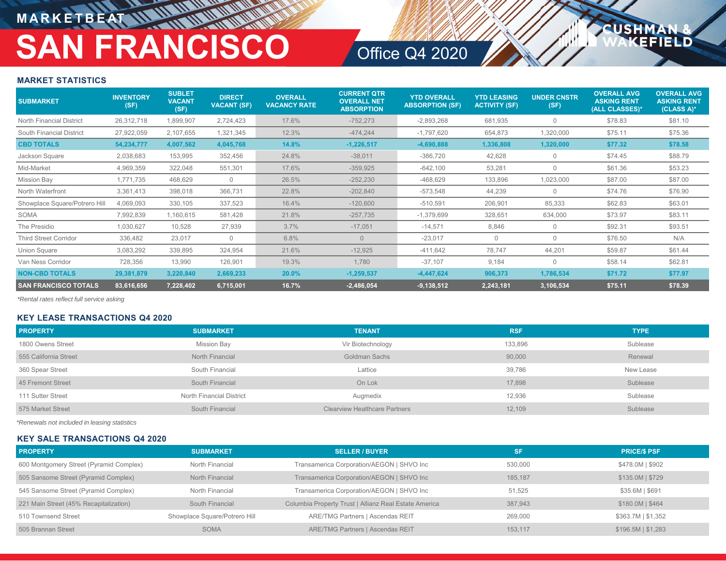### **MARKETBEAT**

## **SAN FRANCISCO**

## Office Q4 2020

**USHM** 

FIFLD

#### **MARKET STATISTICS**

| <b>SUBMARKET</b>              | <b>INVENTORY</b><br>(SF) | <b>SUBLET</b><br><b>VACANT</b><br>(SF) | <b>DIRECT</b><br><b>VACANT (SF)</b> | <b>OVERALL</b><br><b>VACANCY RATE</b> | <b>CURRENT QTR</b><br><b>OVERALL NET</b><br><b>ABSORPTION</b> | <b>YTD OVERALL</b><br><b>ABSORPTION (SF)</b> | <b>YTD LEASING</b><br><b>ACTIVITY (SF)</b> | <b>UNDER CNSTR</b><br>(SF) | <b>OVERALL AVG</b><br><b>ASKING RENT</b><br>(ALL CLASSES)* | <b>OVERALL AVG</b><br><b>ASKING RENT</b><br>$(CLASS A)^*$ |
|-------------------------------|--------------------------|----------------------------------------|-------------------------------------|---------------------------------------|---------------------------------------------------------------|----------------------------------------------|--------------------------------------------|----------------------------|------------------------------------------------------------|-----------------------------------------------------------|
| North Financial District      | 26,312,718               | 1,899,907                              | 2,724,423                           | 17.6%                                 | $-752,273$                                                    | $-2,893,268$                                 | 681,935                                    | $\Omega$                   | \$78.83                                                    | \$81.10                                                   |
| South Financial District      | 27,922,059               | 2,107,655                              | 1,321,345                           | 12.3%                                 | $-474,244$                                                    | $-1,797,620$                                 | 654,873                                    | 1,320,000                  | \$75.11                                                    | \$75.36                                                   |
| <b>CBD TOTALS</b>             | 54,234,777               | 4,007,562                              | 4,045,768                           | 14.8%                                 | $-1,226,517$                                                  | $-4,690,888$                                 | 1,336,808                                  | 1,320,000                  | \$77.32                                                    | \$78.58                                                   |
| Jackson Square                | 2,038,683                | 153,995                                | 352,456                             | 24.8%                                 | $-38,011$                                                     | $-386,720$                                   | 42,628                                     | 0                          | \$74.45                                                    | \$88.79                                                   |
| Mid-Market                    | 4,969,359                | 322,048                                | 551,301                             | 17.6%                                 | $-359,925$                                                    | $-642,100$                                   | 53,281                                     | $\Omega$                   | \$61.36                                                    | \$53.23                                                   |
| <b>Mission Bay</b>            | 1,771,735                | 468,629                                | $\mathbf{0}$                        | 26.5%                                 | $-252,230$                                                    | $-468,629$                                   | 133,896                                    | 1,023,000                  | \$87.00                                                    | \$87.00                                                   |
| North Waterfront              | 3,361,413                | 398,018                                | 366,731                             | 22.8%                                 | $-202,840$                                                    | $-573.548$                                   | 44,239                                     | $\Omega$                   | \$74.76                                                    | \$76.90                                                   |
| Showplace Square/Potrero Hill | 4,069,093                | 330,105                                | 337,523                             | 16.4%                                 | $-120,600$                                                    | $-510,591$                                   | 206,901                                    | 85,333                     | \$62.83                                                    | \$63.01                                                   |
| SOMA                          | 7,992,839                | 1,160,615                              | 581,428                             | 21.8%                                 | $-257,735$                                                    | $-1,379,699$                                 | 328,651                                    | 634,000                    | \$73.97                                                    | \$83.11                                                   |
| The Presidio                  | 1,030,627                | 10,528                                 | 27,939                              | 3.7%                                  | $-17,051$                                                     | $-14,571$                                    | 8,846                                      | $\Omega$                   | \$92.31                                                    | \$93.51                                                   |
| <b>Third Street Corridor</b>  | 336,482                  | 23,017                                 | $\overline{0}$                      | 6.8%                                  | $\Omega$                                                      | $-23,017$                                    | $\mathbf{0}$                               | 0                          | \$76.50                                                    | N/A                                                       |
| Union Square                  | 3,083,292                | 339,895                                | 324,954                             | 21.6%                                 | $-12,925$                                                     | -411,642                                     | 78,747                                     | 44,201                     | \$59.87                                                    | \$61.44                                                   |
| Van Ness Corridor             | 728,356                  | 13,990                                 | 126,901                             | 19.3%                                 | 1,780                                                         | $-37,107$                                    | 9,184                                      | $\mathbf 0$                | \$58.14                                                    | \$62.81                                                   |
| <b>NON-CBD TOTALS</b>         | 29,381,879               | 3,220,840                              | 2,669,233                           | 20.0%                                 | $-1,259,537$                                                  | $-4,447,624$                                 | 906,373                                    | 1,786,534                  | \$71.72                                                    | \$77.97                                                   |
| <b>SAN FRANCISCO TOTALS</b>   | 83,616,656               | 7,228,402                              | 6,715,001                           | 16.7%                                 | $-2,486,054$                                                  | $-9,138,512$                                 | 2,243,181                                  | 3,106,534                  | \$75.11                                                    | \$78.39                                                   |

*\*Rental rates reflect full service asking*

#### **KEY LEASE TRANSACTIONS Q4 2020**

| <b>PROPERTY</b>       | <b>SUBMARKET</b>         | <b>TENANT</b>                        | <b>RSF</b> | <b>TYPE</b> |
|-----------------------|--------------------------|--------------------------------------|------------|-------------|
| 1800 Owens Street     | Mission Bay              | Vir Biotechnology                    | 133,896    | Sublease    |
| 555 California Street | North Financial          | Goldman Sachs                        | 90,000     | Renewal     |
| 360 Spear Street      | South Financial          | Lattice                              | 39.786     | New Lease   |
| 45 Fremont Street     | South Financial          | On Lok                               | 17.898     | Sublease    |
| 111 Sutter Street     | North Financial District | Augmedix                             | 12,936     | Sublease    |
| 575 Market Street     | South Financial          | <b>Clearview Healthcare Partners</b> | 12,109     | Sublease    |

*\*Renewals not included in leasing statistics*

#### **KEY SALE TRANSACTIONS Q4 2020**

| <b>PROPERTY</b>                         | <b>SUBMARKET</b>              | <b>SELLER / BUYER</b>                                 | <b>SF</b> | <b>PRICE/S PSF</b>   |
|-----------------------------------------|-------------------------------|-------------------------------------------------------|-----------|----------------------|
| 600 Montgomery Street (Pyramid Complex) | North Financial               | Transamerica Corporation/AEGON   SHVO Inc             | 530,000   | \$478.0M   \$902     |
| 505 Sansome Street (Pyramid Complex)    | North Financial               | Transamerica Corporation/AEGON   SHVO Inc             | 185.187   | $$135.0M$$ $$729$    |
| 545 Sansome Street (Pyramid Complex)    | North Financial               | Transamerica Corporation/AEGON   SHVO Inc             | 51.525    | \$35.6M   \$691      |
| 221 Main Street (45% Recapitalization)  | South Financial               | Columbia Property Trust   Allianz Real Estate America | 387.943   | \$180.0M   \$464     |
| 510 Townsend Street                     | Showplace Square/Potrero Hill | ARE/TMG Partners   Ascendas REIT                      | 269.000   | \$363.7M   \$1,352   |
| 505 Brannan Street                      | <b>SOMA</b>                   | <b>ARE/TMG Partners   Ascendas REIT</b>               | 153.117   | $$196.5M$$   \$1,283 |